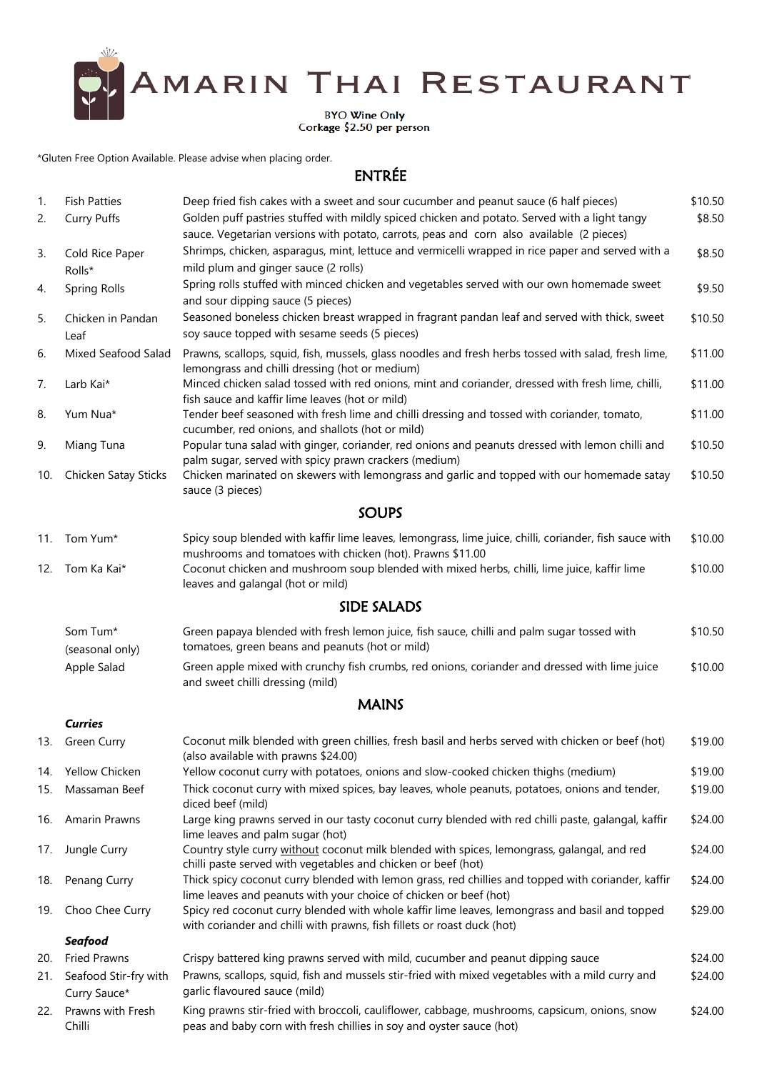

BYO Wine Only<br>Corkage \$2.50 per person

\*Gluten Free Option Available. Please advise when placing order.

## ENTRÉE

| 1.<br>2. | <b>Fish Patties</b><br><b>Curry Puffs</b> | Deep fried fish cakes with a sweet and sour cucumber and peanut sauce (6 half pieces)<br>Golden puff pastries stuffed with mildly spiced chicken and potato. Served with a light tangy | \$10.50<br>\$8.50 |
|----------|-------------------------------------------|----------------------------------------------------------------------------------------------------------------------------------------------------------------------------------------|-------------------|
|          |                                           | sauce. Vegetarian versions with potato, carrots, peas and corn also available (2 pieces)                                                                                               |                   |
| 3.       | Cold Rice Paper<br>Rolls*                 | Shrimps, chicken, asparagus, mint, lettuce and vermicelli wrapped in rice paper and served with a<br>mild plum and ginger sauce (2 rolls)                                              | \$8.50            |
| 4.       | <b>Spring Rolls</b>                       | Spring rolls stuffed with minced chicken and vegetables served with our own homemade sweet<br>and sour dipping sauce (5 pieces)                                                        | \$9.50            |
| 5.       | Chicken in Pandan<br>Leaf                 | Seasoned boneless chicken breast wrapped in fragrant pandan leaf and served with thick, sweet<br>soy sauce topped with sesame seeds (5 pieces)                                         | \$10.50           |
| 6.       | Mixed Seafood Salad                       | Prawns, scallops, squid, fish, mussels, glass noodles and fresh herbs tossed with salad, fresh lime,<br>lemongrass and chilli dressing (hot or medium)                                 | \$11.00           |
| 7.       | Larb Kai*                                 | Minced chicken salad tossed with red onions, mint and coriander, dressed with fresh lime, chilli,<br>fish sauce and kaffir lime leaves (hot or mild)                                   | \$11.00           |
| 8.       | Yum Nua*                                  | Tender beef seasoned with fresh lime and chilli dressing and tossed with coriander, tomato,<br>cucumber, red onions, and shallots (hot or mild)                                        | \$11.00           |
| 9.       | Miang Tuna                                | Popular tuna salad with ginger, coriander, red onions and peanuts dressed with lemon chilli and<br>palm sugar, served with spicy prawn crackers (medium)                               | \$10.50           |
| 10.      | Chicken Satay Sticks                      | Chicken marinated on skewers with lemongrass and garlic and topped with our homemade satay<br>sauce (3 pieces)                                                                         | \$10.50           |
|          |                                           | <b>SOUPS</b>                                                                                                                                                                           |                   |
| 11.      | Tom Yum*                                  | Spicy soup blended with kaffir lime leaves, lemongrass, lime juice, chilli, coriander, fish sauce with                                                                                 | \$10.00           |
| 12.      | Tom Ka Kai*                               | mushrooms and tomatoes with chicken (hot). Prawns \$11.00<br>Coconut chicken and mushroom soup blended with mixed herbs, chilli, lime juice, kaffir lime                               | \$10.00           |
|          |                                           | leaves and galangal (hot or mild)<br><b>SIDE SALADS</b>                                                                                                                                |                   |
|          |                                           |                                                                                                                                                                                        |                   |
|          | Som Tum*<br>(seasonal only)               | Green papaya blended with fresh lemon juice, fish sauce, chilli and palm sugar tossed with<br>tomatoes, green beans and peanuts (hot or mild)                                          | \$10.50           |
|          | Apple Salad                               | Green apple mixed with crunchy fish crumbs, red onions, coriander and dressed with lime juice<br>and sweet chilli dressing (mild)                                                      | \$10.00           |
|          |                                           | <b>MAINS</b>                                                                                                                                                                           |                   |
|          | <b>Curries</b>                            |                                                                                                                                                                                        |                   |
| 13.      | <b>Green Curry</b>                        | Coconut milk blended with green chillies, fresh basil and herbs served with chicken or beef (hot)<br>(also available with prawns \$24.00)                                              | \$19.00           |
| 14.      | <b>Yellow Chicken</b>                     | Yellow coconut curry with potatoes, onions and slow-cooked chicken thighs (medium)                                                                                                     | \$19.00           |
| 15.      | Massaman Beef                             | Thick coconut curry with mixed spices, bay leaves, whole peanuts, potatoes, onions and tender,<br>diced beef (mild)                                                                    | \$19.00           |
| 16.      | <b>Amarin Prawns</b>                      | Large king prawns served in our tasty coconut curry blended with red chilli paste, galangal, kaffir<br>lime leaves and palm sugar (hot)                                                | \$24.00           |
| 17.      | Jungle Curry                              | Country style curry without coconut milk blended with spices, lemongrass, galangal, and red<br>chilli paste served with vegetables and chicken or beef (hot)                           | \$24.00           |
| 18.      | Penang Curry                              | Thick spicy coconut curry blended with lemon grass, red chillies and topped with coriander, kaffir<br>lime leaves and peanuts with your choice of chicken or beef (hot)                | \$24.00           |
| 19.      | Choo Chee Curry                           | Spicy red coconut curry blended with whole kaffir lime leaves, lemongrass and basil and topped<br>with coriander and chilli with prawns, fish fillets or roast duck (hot)              | \$29.00           |
|          | <b>Seafood</b>                            |                                                                                                                                                                                        |                   |
| 20.      | <b>Fried Prawns</b>                       | Crispy battered king prawns served with mild, cucumber and peanut dipping sauce                                                                                                        | \$24.00           |
| 21.      | Seafood Stir-fry with<br>Curry Sauce*     | Prawns, scallops, squid, fish and mussels stir-fried with mixed vegetables with a mild curry and<br>garlic flavoured sauce (mild)                                                      | \$24.00           |
| 22.      | Prawns with Fresh<br>Chilli               | King prawns stir-fried with broccoli, cauliflower, cabbage, mushrooms, capsicum, onions, snow<br>peas and baby corn with fresh chillies in soy and oyster sauce (hot)                  | \$24.00           |